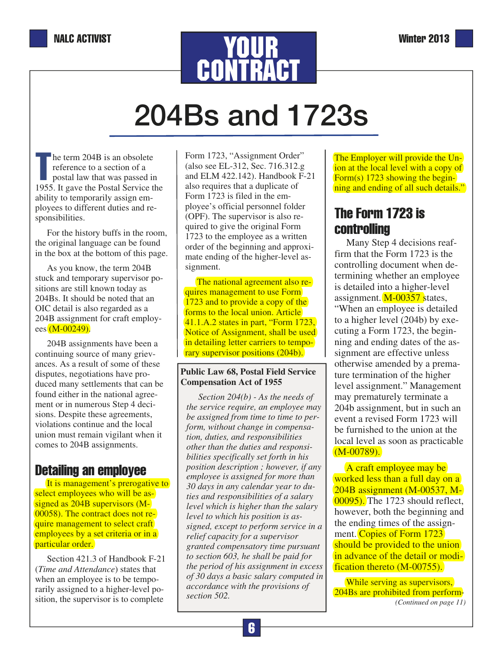

# **204Bs and 1723s**

**T** he term 204B is an obsolete reference to a section of a postal law that was passed in reference to a section of a 1955. It gave the Postal Service the ability to temporarily assign employees to different duties and responsibilities.

For the history buffs in the room, the original language can be found in the box at the bottom of this page.

As you know, the term 204B stuck and temporary supervisor positions are still known today as 204Bs. It should be noted that an OIC detail is also regarded as a 204B assignment for craft employees (M-00249).

204B assignments have been a continuing source of many grievances. As a result of some of these disputes, negotiations have produced many settlements that can be found either in the national agreement or in numerous Step 4 decisions. Despite these agreements, violations continue and the local union must remain vigilant when it comes to 204B assignments.

## Detailing an employee

It is management's prerogative to select employees who will be assigned as 204B supervisors (M-00058). The contract does not require management to select craft employees by a set criteria or in a particular order.

Section 421.3 of Handbook F-21 (*Time and Attendance*) states that when an employee is to be temporarily assigned to a higher-level position, the supervisor is to complete

Form 1723, "Assignment Order" (also see EL-312, Sec. 716.312.g and ELM 422.142). Handbook F-21 also requires that a duplicate of Form 1723 is filed in the employee's official personnel folder (OPF). The supervisor is also required to give the original Form 1723 to the employee as a written order of the beginning and approximate ending of the higher-level assignment.

The national agreement also requires management to use Form 1723 and to provide a copy of the forms to the local union. Article 41.1.A.2 states in part, "Form 1723, Notice of Assignment, shall be used in detailing letter carriers to temporary supervisor positions (204b).

## **Public Law 68, Postal Field Service Compensation Act of 1955**

*Section 204(b) - As the needs of the service require, an employee may be assigned from time to time to perform, without change in compensation, duties, and responsibilities other than the duties and responsibilities specifically set forth in his position description ; however, if any employee is assigned for more than 30 days in any calendar year to duties and responsibilities of a salary level which is higher than the salary level to which his position is assigned, except to perform service in a relief capacity for a supervisor granted compensatory time pursuant to section 603, he shall be paid for the period of his assignment in excess of 30 days a basic salary computed in accordance with the provisions of section 502.* 

The Employer will provide the Union at the local level with a copy of Form(s) 1723 showing the beginning and ending of all such details."

# The Form 1723 is controlling

Many Step 4 decisions reaffirm that the Form 1723 is the controlling document when determining whether an employee is detailed into a higher-level assignment. M-00357 states, "When an employee is detailed to a higher level (204b) by executing a Form 1723, the beginning and ending dates of the assignment are effective unless otherwise amended by a premature termination of the higher level assignment." Management may prematurely terminate a 204b assignment, but in such an event a revised Form 1723 will be furnished to the union at the local level as soon as practicable (M-00789).

A craft employee may be worked less than a full day on a 204B assignment (M-00537, M-00095). The 1723 should reflect, however, both the beginning and the ending times of the assignment. Copies of Form 1723 should be provided to the union in advance of the detail or modification thereto (M-00755).

While serving as supervisors, 204Bs are prohibited from perform- *(Continued on page 11)*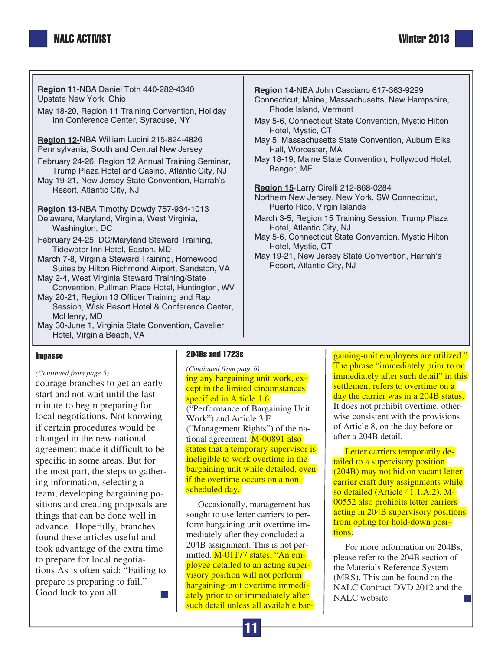| Region 11-NBA Daniel Toth 440-282-4340<br>Upstate New York, Ohio<br>May 18-20, Region 11 Training Convention, Holiday<br>Inn Conference Center, Syracuse, NY<br><b>Region 12-NBA William Lucini 215-824-4826</b><br>Pennsylvania, South and Central New Jersey<br>February 24-26, Region 12 Annual Training Seminar,<br>Trump Plaza Hotel and Casino, Atlantic City, NJ<br>May 19-21, New Jersey State Convention, Harrah's<br>Resort, Atlantic City, NJ<br>Region 13-NBA Timothy Dowdy 757-934-1013<br>Delaware, Maryland, Virginia, West Virginia,<br>Washington, DC<br>February 24-25, DC/Maryland Steward Training,<br>Tidewater Inn Hotel, Easton, MD<br>March 7-8, Virginia Steward Training, Homewood<br>Suites by Hilton Richmond Airport, Sandston, VA<br>May 2-4, West Virginia Steward Training/State<br>Convention, Pullman Place Hotel, Huntington, WV<br>May 20-21, Region 13 Officer Training and Rap<br>Session, Wisk Resort Hotel & Conference Center,<br>McHenry, MD<br>May 30-June 1, Virginia State Convention, Cavalier<br>Hotel, Virginia Beach, VA | <b>Region 14-NBA John Casciano 617-363-9299</b><br>Connecticut, Maine, Massachusetts, New Hampshire,<br>Rhode Island, Vermont<br>May 5-6, Connecticut State Convention, Mystic Hilton<br>Hotel, Mystic, CT<br>May 5, Massachusetts State Convention, Auburn Elks<br>Hall, Worcester, MA<br>May 18-19, Maine State Convention, Hollywood Hotel,<br>Bangor, ME<br><b>Region 15-Larry Cirelli 212-868-0284</b><br>Northern New Jersey, New York, SW Connecticut,<br>Puerto Rico, Virgin Islands<br>March 3-5, Region 15 Training Session, Trump Plaza<br>Hotel, Atlantic City, NJ<br>May 5-6, Connecticut State Convention, Mystic Hilton<br>Hotel, Mystic, CT<br>May 19-21, New Jersey State Convention, Harrah's<br>Resort, Atlantic City, NJ |
|---------------------------------------------------------------------------------------------------------------------------------------------------------------------------------------------------------------------------------------------------------------------------------------------------------------------------------------------------------------------------------------------------------------------------------------------------------------------------------------------------------------------------------------------------------------------------------------------------------------------------------------------------------------------------------------------------------------------------------------------------------------------------------------------------------------------------------------------------------------------------------------------------------------------------------------------------------------------------------------------------------------------------------------------------------------------------|----------------------------------------------------------------------------------------------------------------------------------------------------------------------------------------------------------------------------------------------------------------------------------------------------------------------------------------------------------------------------------------------------------------------------------------------------------------------------------------------------------------------------------------------------------------------------------------------------------------------------------------------------------------------------------------------------------------------------------------------|
|---------------------------------------------------------------------------------------------------------------------------------------------------------------------------------------------------------------------------------------------------------------------------------------------------------------------------------------------------------------------------------------------------------------------------------------------------------------------------------------------------------------------------------------------------------------------------------------------------------------------------------------------------------------------------------------------------------------------------------------------------------------------------------------------------------------------------------------------------------------------------------------------------------------------------------------------------------------------------------------------------------------------------------------------------------------------------|----------------------------------------------------------------------------------------------------------------------------------------------------------------------------------------------------------------------------------------------------------------------------------------------------------------------------------------------------------------------------------------------------------------------------------------------------------------------------------------------------------------------------------------------------------------------------------------------------------------------------------------------------------------------------------------------------------------------------------------------|

courage branches to get an early start and not wait until the last minute to begin preparing for local negotiations. Not knowing if certain procedures would be changed in the new national agreement made it difficult to be specific in some areas. But for the most part, the steps to gathering information, selecting a team, developing bargaining positions and creating proposals are things that can be done well in advance. Hopefully, branches found these articles useful and took advantage of the extra time to prepare for local negotiations.As is often said: "Failing to prepare is preparing to fail." Good luck to you all.

#### 204Bs and 1723s Impasse

### *(Continued from page 5)*<br> **ing any bargaining unit work, ex-**<br> **ing any bargaining unit work, ex**cept in the limited circumstances specified in Article 1.6 *(Continued from page 6)*

("Performance of Bargaining Unit Work") and Article 3.F ("Management Rights") of the national agreement. M-00891 also states that a temporary supervisor is ineligible to work overtime in the bargaining unit while detailed, even if the overtime occurs on a nonscheduled day.

Occasionally, management has sought to use letter carriers to perform bargaining unit overtime immediately after they concluded a 204B assignment. This is not permitted. M-01177 states, "An employee detailed to an acting supervisory position will not perform bargaining-unit overtime immediately prior to or immediately after such detail unless all available bargaining-unit employees are utilized." The phrase "immediately prior to or immediately after such detail" in this settlement refers to overtime on a day the carrier was in a 204B status. It does not prohibit overtime, otherwise consistent with the provisions of Article 8, on the day before or after a 204B detail.

Letter carriers temporarily detailed to a supervisory position (204B) may not bid on vacant letter carrier craft duty assignments while so detailed (Article 41.1.A.2). M-00552 also prohibits letter carriers acting in 204B supervisory positions from opting for hold-down positions.

For more information on 204Bs, please refer to the 204B section of the Materials Reference System (MRS). This can be found on the NALC Contract DVD 2012 and the NALC website.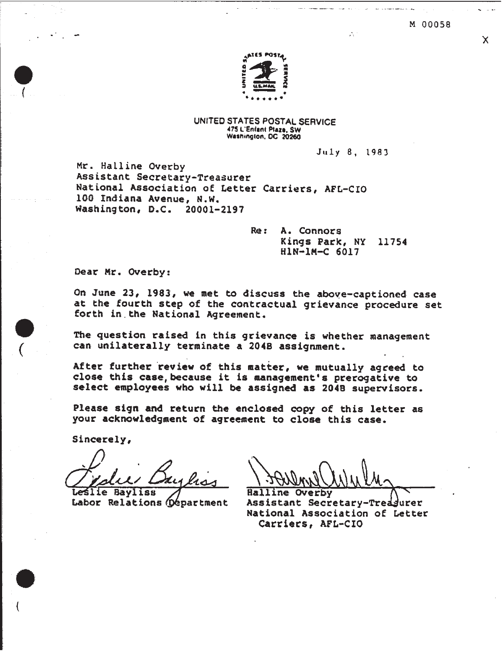$\times$ 



#### UNITED STATES POSTAL SERVICE 475 L'Enfant Plaza, SW Washington, DC 20260

July 8, 1983

Mr. Halline Overby Assistant Secretary-Treasurer National Association of Letter Carriers, AFL-CIO 100 Indiana Avenue, N.W. Washington, D.C. 20001-2197

> $Re:$ A. Connors Kings Park, NY 11754 H1N-1M-C 6017

Dear Mr. Overby:

On June 23, 1983, we met to discuss the above-captioned case at the fourth step of the contractual grievance procedure set forth in the National Agreement.

The question raised in this grievance is whether management can unilaterally terminate a 204B assignment.

After further review of this matter, we mutually agreed to close this case, because it is management's prerogative to select employees who will be assigned as 204B supervisors.

Please sign and return the enclosed copy of this letter as your acknowledgment of agreement to close this case.

Sincerely,

ie Bayliss

Labor Relations (Department

Halline

Assistant Secretary-Treagurer National Association of Letter Carriers, AFL-CIO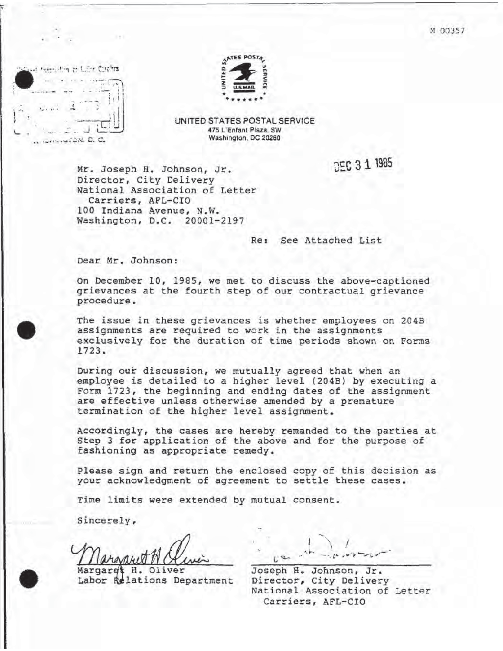M 00357

the High Cores





UNITED STATES POSTAL SERVICE 475 L'Enfant Plaza, SW Washington, DC 20260

Mr. Joseph H. Johnson, Jr. Director, City Delivery National Association of Letter Carriers, AFL-CIO 100 Indiana Avenue, N.W. Washington, D.C. 20001-2197

Re: See Attached List

DEC 3 1 1985

Dear Mr. Johnson:

On December 10, 1985, we met to discuss the above-captioned grievances at the fourth step of our contractual grievance procedure.

The issue in these grievances is whether employees on 204B assignments are required to work in the assignments exclusively for the duration of time periods shown on Forms 1723.

During our discussion, we mutually agreed that when an employee is detailed to a higher level (204B) by executing a Form 1723, the beginning and ending dates of the assignment are effective unless otherwise amended by a premature termination of the higher level assignment.

Accordingly, the cases are hereby remanded to the parties at Step 3 for application of the above and for the purpose of fashioning as appropriate remedy.

Please sign and return the enclosed copy of this decision as your acknowledgment of agreement to settle these cases.

Time limits were extended by mutual consent.

Sincerely,

н. Oliver Labor Relations Department

Joseph H. Johnson, Jr. Director, City Delivery National Association of Letter Carriers, AFL-CIO

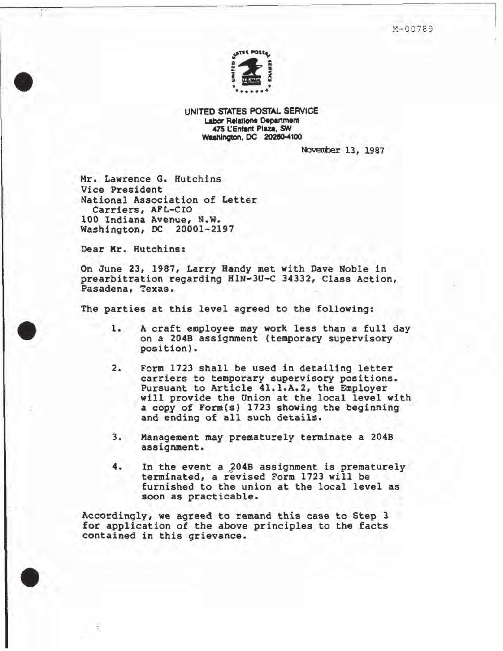M-00789



UNITED STATES POSTAL SERVICE **Labor Relations Department** 475 L'Enfant Plaza, SW Washington, DC 20260-4100

November 13, 1987

Mr. Lawrence G. Hutchins Vice President National Association of Letter Carriers, AFL-CIO 100 Indiana Avenue, N.W. Washington, DC 20001-2197

Dear Mr. Hutchins:

On June 23, 1987, Larry Handy met with Dave Noble in prearbitration regarding HIN-3U-C 34332, Class Action, Pasadena, Texas.

The parties at this level agreed to the following:

- A craft employee may work less than a full day 1. on a 204B assignment (temporary supervisory position).
- $2.$ Form 1723 shall be used in detailing letter carriers to temporary supervisory positions. Pursuant to Article 41.1.A.2, the Employer will provide the Union at the local level with a copy of Form(s) 1723 showing the beginning and ending of all such details.
- $3.$ Management may prematurely terminate a 204B assignment.
- 4. In the event a 204B assignment is prematurely terminated, a revised Form 1723 will be furnished to the union at the local level as soon as practicable.

Accordingly, we agreed to remand this case to Step 3 for application of the above principles to the facts contained in this grievance.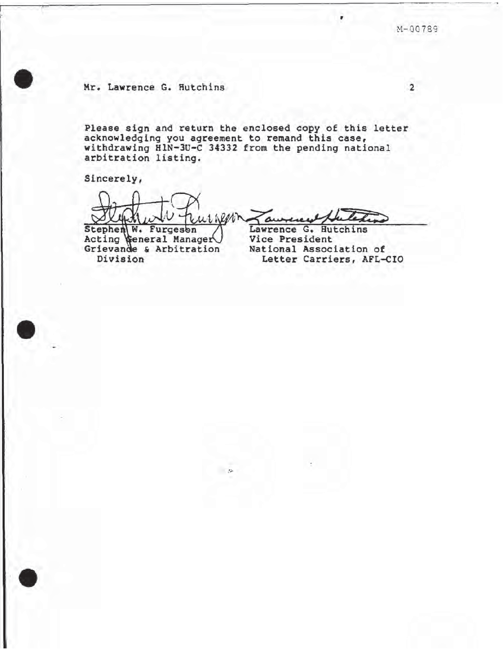$M - 00789$ 

Mr. Lawrence G. Hutchins

Please sign and return the enclosed copy of this letter acknowledging you agreement to remand this case,<br>withdrawing HIN-3U-C 34332 from the pending national arbitration listing.

Sincerely,

LINKA

Stephen W. Furgeson<br>Acting General Manager<br>Grievande & Arbitration Division

auren

Lawrence G. Hutchins Vice President National Association of Letter Carriers, AFL-CIO







 $\overline{2}$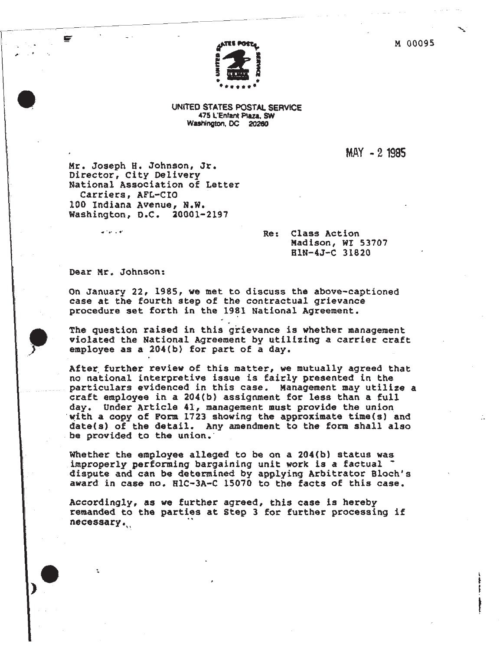M 00095



UNITED STATES POSTAL SERVICE 475 L'Enfant Plaza, SW Washington, DC 20260

MAY - 2 1985

Mr. Joseph H. Johnson, Jr. Director, City Delivery National Association of Letter Carriers, AFL-CIO 100 Indiana Avenue, N.W. Washington, D.C. 20001-2197

**Service** 

 $Re:$ Class Action Madison, WI 53707 HIN-4J-C 31820

Dear Mr. Johnson:

On January 22, 1985, we met to discuss the above-captioned case at the fourth step of the contractual grievance procedure set forth in the 1981 National Agreement.

The question raised in this grievance is whether management violated the National Agreement by utilizing a carrier craft employee as a 204(b) for part of a day.

After further review of this matter, we mutually agreed that no national interpretive issue is fairly presented in the particulars evidenced in this case. Management may utilize a craft employee in a 204(b) assignment for less than a full day. Under Article 41, management must provide the union with a copy of Form 1723 showing the approximate time(s) and date(s) of the detail. Any amendment to the form shall also be provided to the union.

Whether the employee alleged to be on a 204(b) status was improperly performing bargaining unit work is a factual dispute and can be determined by applying Arbitrator Bloch's award in case no. H1C-3A-C 15070 to the facts of this case.

Accordingly, as we further agreed, this case is hereby remanded to the parties at Step 3 for further processing if necessary.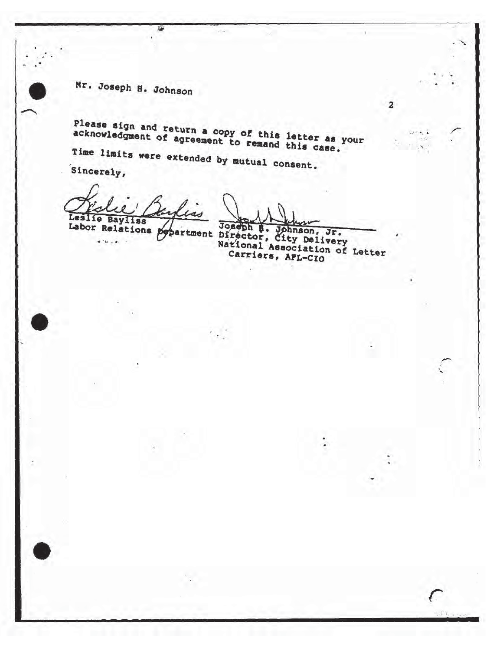Mr. Joseph H. Johnson

**SUP** 

Please sign and return a copy of this letter as your<br>acknowledgment of agreement to remand this case.

Time limits were extended by mutual consent.

Sincerely,

Leslie Bayliss<br>Labor Relations pepartment Director, City Delivery<br>National Association of Letter<br>Carriers, AFL-CIO

 $\overline{2}$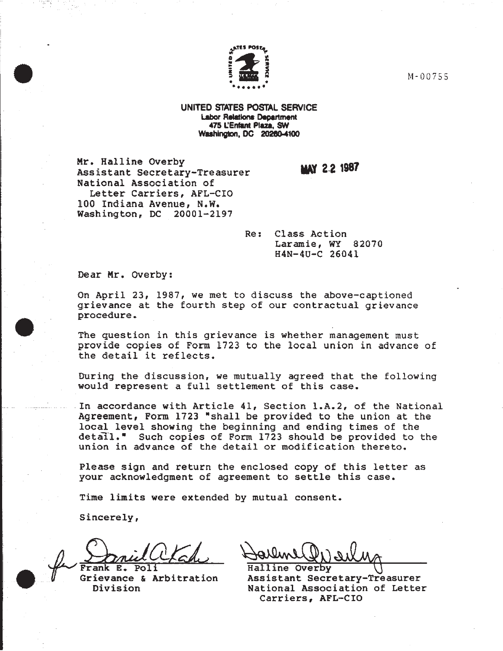

UNITED STATES POSTAL SERVICE **Labor Relations Department** 475 L'Enfant Plaza, SW Washington, DC 20260-4100

Mr. Halline Overby Assistant Secretary-Treasurer National Association of Letter Carriers, AFL-CIO 100 Indiana Avenue, N.W. Washington, DC  $20001 - 2197$ 

**MAY 2.2 1987** 

Re: Class Action Laramie, WY 82070 H4N-4U-C 26041

Dear Mr. Overby:

On April 23, 1987, we met to discuss the above-captioned grievance at the fourth step of our contractual grievance procedure.

The question in this grievance is whether management must provide copies of Form 1723 to the local union in advance of the detail it reflects.

During the discussion, we mutually agreed that the following would represent a full settlement of this case.

In accordance with Article 41, Section 1.A.2, of the National Agreement, Form 1723 "shall be provided to the union at the local level showing the beginning and ending times of the detail." Such copies of Form 1723 should be provided to the union in advance of the detail or modification thereto.

Please sign and return the enclosed copy of this letter as your acknowledgment of agreement to settle this case.

Time limits were extended by mutual consent.

Sincerely,

R

Grievance & Arbitration Division

**Halline Overby** 

Assistant Secretary-Treasurer National Association of Letter Carriers, AFL-CIO

 $M - 00755$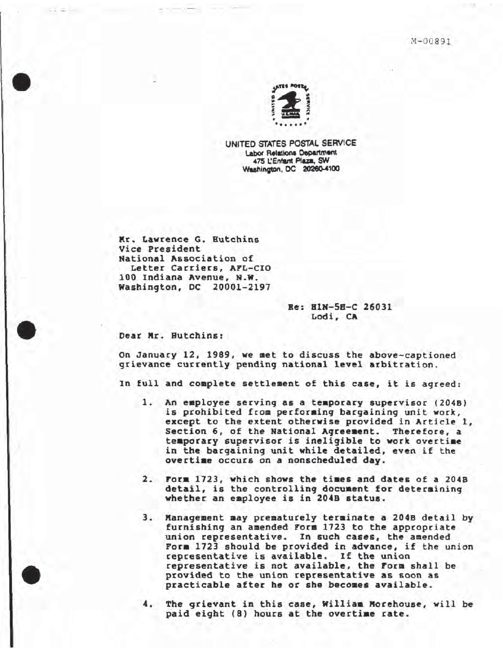

UNITED STATES POSTAL SERVICE Labor Relations Department 475 L'Enfant Plaza, SW<br>Washington, DC 20260-4100

Mr. Lawrence G. Hutchins Vice President National Association of Letter Carriers, AFL-CIO 100 Indiana Avenue, N.W. Washington, DC 20001-2197

> Re: H1N-5H-C 26031 Lodi, CA

Dear Mr. Hutchins:

On January 12, 1989, we met to discuss the above-captioned grievance currently pending national level arbitration.

In full and complete settlement of this case, it is agreed:

- An employee serving as a temporary supervisor (204B)  $1.$ is prohibited from performing bargaining unit work, except to the extent otherwise provided in Article 1, Section 6, of the National Agreement. Therefore, a temporary supervisor is ineligible to work overtime in the bargaining unit while detailed, even if the overtime occurs on a nonscheduled day.
- 2. Form 1723, which shows the times and dates of a 204B detail, is the controlling document for determining whether an employee is in 204B status.
- $3.$ Management may prematurely terminate a 204B detail by furnishing an amended form 1723 to the appropriate union representative. In such cases, the amended Form 1723 should be provided in advance, if the union representative is available. If the union representative is not available, the Form shall be provided to the union representative as soon as practicable after he or she becomes available.
- The grievant in this case, William Morehouse, will be paid eight (8) hours at the overtime rate.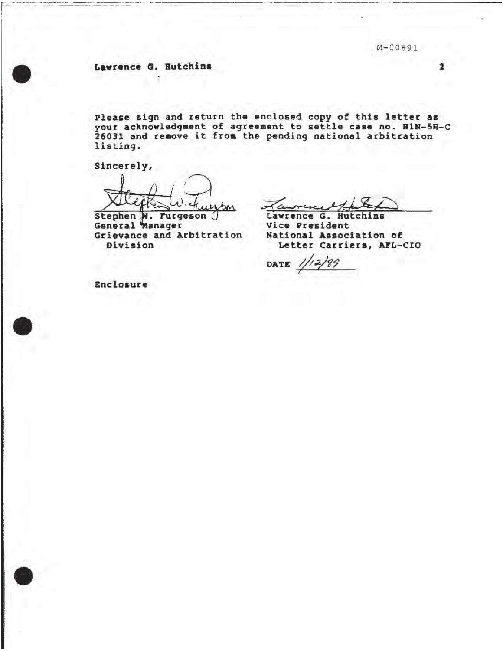M-00891

Lawrence G. Butchins ψ

Please sign and return the enclosed copy of this letter as<br>your acknowledgment of agreement to settle case no. HIN-5H-C<br>26031 and remove it from the pending national arbitration listing.

Sincerely,

Stephen W. Furgeson General Manager Grievance and Arbitration Division

Lawrence G. **Hut** Vice President National Association of Letter Carriers, APL-CIO

DATE

Enclosure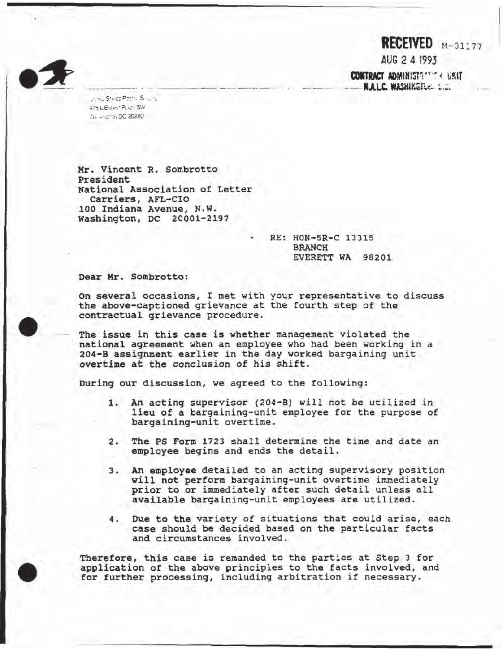# RECEIVED M-01177

AUG 2 4 1993

**CONTRACT ADMINISTRATION USIT NALC WASHIKEILE LE.** 

**Altra Stares Poetal Silvers** 475 L'Espas Puaca SW /// - - variety DC 20260

Mr. Vincent R. Sombrotto President National Association of Letter Carriers, AFL-CIO 100 Indiana Avenue, N.W. Washington, DC 20001-2197

> RE: HON-5R-C 13315 **BRANCH** EVERETT WA 98201

Dear Mr. Sombrotto:

On several occasions, I met with your representative to discuss the above-captioned grievance at the fourth step of the contractual grievance procedure.

The issue in this case is whether management violated the national agreement when an employee who had been working in a 204-B assignment earlier in the day worked bargaining unit overtime at the conclusion of his shift.

During our discussion, we agreed to the following:

- 1. An acting supervisor (204-B) will not be utilized in lieu of a bargaining-unit employee for the purpose of bargaining-unit overtime.
- $2.$ The PS Form 1723 shall determine the time and date an employee begins and ends the detail.
- An employee detailed to an acting supervisory position  $3.$ will not perform bargaining-unit overtime immediately prior to or immediately after such detail unless all available bargaining-unit employees are utilized.
- Due to the variety of situations that could arise, each  $4.$ case should be decided based on the particular facts and circumstances involved.

Therefore, this case is remanded to the parties at Step 3 for application of the above principles to the facts involved, and for further processing, including arbitration if necessary.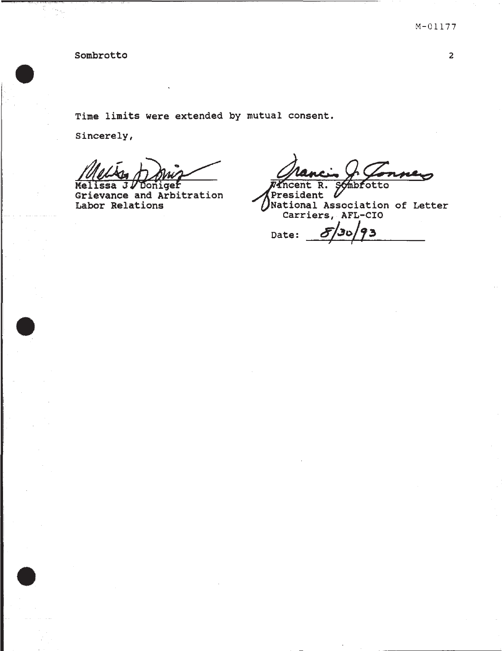Sombrotto

T,

Time limits were extended by mutual consent.

Sincerely,

Me. Donigef ssa JI

Grievance and Arbitration Labor Relations

 $\overline{R}$ . *M***ncent mbfotto** 

ł President V<br>National Association of Letter Carriers, AFL-CIO

J Date: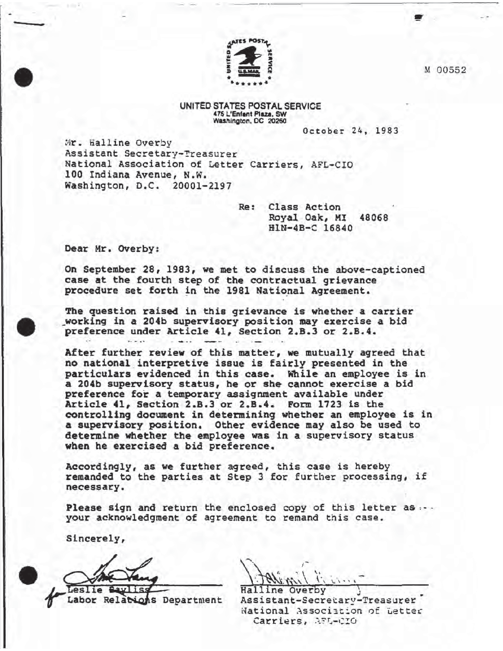

UNITED STATES POSTAL SERVICE 475 L'Enfant Plaza, SW<br>Washington, DC 20260

October 24, 1983

Mr. Halline Overby Assistant Secretary-Treasurer National Association of Letter Carriers, AFL-CIO 100 Indiana Avenue, N.W. Washington, D.C. 20001-2197

> Class Action  $Re:$ Royal Oak, MI 48068 HIN-4B-C 16840

Dear Mr. Overby:

On September 28, 1983, we met to discuss the above-captioned case at the fourth step of the contractual grievance procedure set forth in the 1981 National Agreement.

The question raised in this grievance is whether a carrier working in a 204b supervisory position may exercise a bid preference under Article 41, Section 2.B.3 or 2.B.4.  $1. - 11$ 

After further review of this matter, we mutually agreed that no national interpretive issue is fairly presented in the particulars evidenced in this case. While an employee is in a 204b supervisory status, he or she cannot exercise a bid preference for a temporary assignment available under Article 41, Section 2.B.3 or 2.B.4. Form 1723 is the controlling document in determining whether an employee is in a supervisory position. Other evidence may also be used to determine whether the employee was in a supervisory status when he exercised a bid preference.

Accordingly, as we further agreed, this case is hereby remanded to the parties at Step 3 for further processing, if necessary.

Please sign and return the enclosed copy of this letter as ... your acknowledgment of agreement to remand this case.

Sincerely,

Labor Relations Department

Halline Overby

Assistant-Secretary-Treasurer National Association of Letter Carriers, AFL-CIO

M 00552